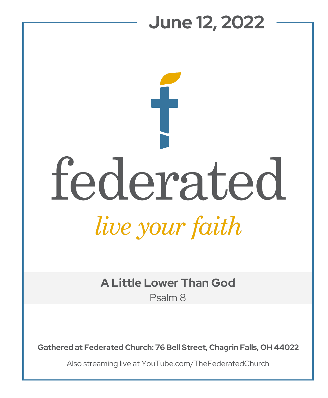## **June 12, 2022**  federated live your faith

**A Little Lower Than God** Psalm 8

**Gathered at Federated Church: 76 Bell Street, Chagrin Falls, OH 44022**

Also streaming live at YouTube.com/TheFederatedChurch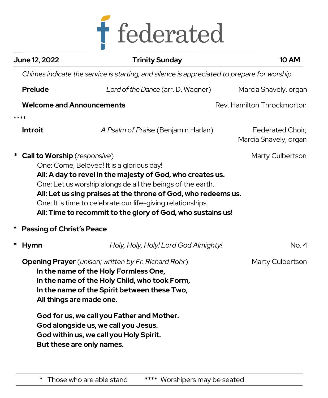

|   | <b>June 12, 2022</b>                                                                                                                                                                                                                                                                                                                                                                                                        | <b>Trinity Sunday</b>                                                                                        | <b>10 AM</b>                              |  |  |
|---|-----------------------------------------------------------------------------------------------------------------------------------------------------------------------------------------------------------------------------------------------------------------------------------------------------------------------------------------------------------------------------------------------------------------------------|--------------------------------------------------------------------------------------------------------------|-------------------------------------------|--|--|
|   | Chimes indicate the service is starting, and silence is appreciated to prepare for worship.                                                                                                                                                                                                                                                                                                                                 |                                                                                                              |                                           |  |  |
|   | Prelude                                                                                                                                                                                                                                                                                                                                                                                                                     | Lord of the Dance (arr. D. Wagner)                                                                           | Marcia Snavely, organ                     |  |  |
|   | <b>Welcome and Announcements</b>                                                                                                                                                                                                                                                                                                                                                                                            |                                                                                                              | Rev. Hamilton Throckmorton                |  |  |
|   | ****                                                                                                                                                                                                                                                                                                                                                                                                                        |                                                                                                              |                                           |  |  |
|   | <b>Introit</b>                                                                                                                                                                                                                                                                                                                                                                                                              | A Psalm of Praise (Benjamin Harlan)                                                                          | Federated Choir;<br>Marcia Snavely, organ |  |  |
|   | * Call to Worship (responsive)<br>Marty Culbertson<br>One: Come, Beloved! It is a glorious day!<br>All: A day to revel in the majesty of God, who creates us.<br>One: Let us worship alongside all the beings of the earth.<br>All: Let us sing praises at the throne of God, who redeems us.<br>One: It is time to celebrate our life-giving relationships,<br>All: Time to recommit to the glory of God, who sustains us! |                                                                                                              |                                           |  |  |
| ∗ | <b>Passing of Christ's Peace</b>                                                                                                                                                                                                                                                                                                                                                                                            |                                                                                                              |                                           |  |  |
| * | <b>Hymn</b>                                                                                                                                                                                                                                                                                                                                                                                                                 | Holy, Holy, Holy! Lord God Almighty!                                                                         | No. 4                                     |  |  |
|   | <b>Opening Prayer</b> (unison; written by Fr. Richard Rohr)<br>In the name of the Holy Formless One,<br>In the name of the Holy Child, who took Form,<br>In the name of the Spirit between these Two,<br>All things are made one.<br>God for us, we call you Father and Mother.                                                                                                                                             |                                                                                                              | Marty Culbertson                          |  |  |
|   |                                                                                                                                                                                                                                                                                                                                                                                                                             | God alongside us, we call you Jesus.<br>God within us, we call you Holy Spirit.<br>But these are only names. |                                           |  |  |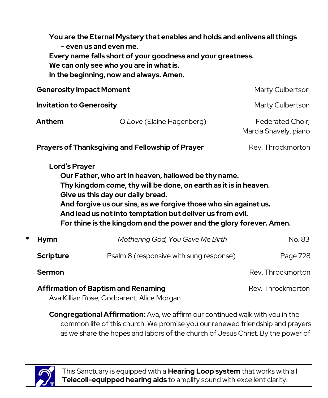|                                            | You are the Eternal Mystery that enables and holds and enlivens all things<br>- even us and even me.<br>Every name falls short of your goodness and your greatness.<br>We can only see who you are in what is.<br>In the beginning, now and always. Amen.                                                                                                                                     |                                                         |                                           |  |  |  |
|--------------------------------------------|-----------------------------------------------------------------------------------------------------------------------------------------------------------------------------------------------------------------------------------------------------------------------------------------------------------------------------------------------------------------------------------------------|---------------------------------------------------------|-------------------------------------------|--|--|--|
|                                            | <b>Generosity Impact Moment</b>                                                                                                                                                                                                                                                                                                                                                               |                                                         | Marty Culbertson                          |  |  |  |
|                                            | <b>Invitation to Generosity</b>                                                                                                                                                                                                                                                                                                                                                               |                                                         | Marty Culbertson                          |  |  |  |
|                                            | Anthem                                                                                                                                                                                                                                                                                                                                                                                        | O Love (Elaine Hagenberg)                               | Federated Choir;<br>Marcia Snavely, piano |  |  |  |
|                                            |                                                                                                                                                                                                                                                                                                                                                                                               | <b>Prayers of Thanksgiving and Fellowship of Prayer</b> | Rev. Throckmorton                         |  |  |  |
|                                            | <b>Lord's Prayer</b><br>Our Father, who art in heaven, hallowed be thy name.<br>Thy kingdom come, thy will be done, on earth as it is in heaven.<br>Give us this day our daily bread.<br>And forgive us our sins, as we forgive those who sin against us.<br>And lead us not into temptation but deliver us from evil.<br>For thine is the kingdom and the power and the glory forever. Amen. |                                                         |                                           |  |  |  |
| *                                          | <b>Hymn</b>                                                                                                                                                                                                                                                                                                                                                                                   | Mothering God, You Gave Me Birth                        | No. 83                                    |  |  |  |
|                                            | <b>Scripture</b>                                                                                                                                                                                                                                                                                                                                                                              | Psalm 8 (responsive with sung response)                 | Page 728                                  |  |  |  |
|                                            | Sermon                                                                                                                                                                                                                                                                                                                                                                                        |                                                         | Rev. Throckmorton                         |  |  |  |
| <b>Affirmation of Baptism and Renaming</b> |                                                                                                                                                                                                                                                                                                                                                                                               |                                                         | Rev. Throckmorton                         |  |  |  |

Ava Killian Rose; Godparent, Alice Morgan

**Congregational Affirmation:** Ava, we affirm our continued walk with you in the common life of this church. We promise you our renewed friendship and prayers as we share the hopes and labors of the church of Jesus Christ. By the power of